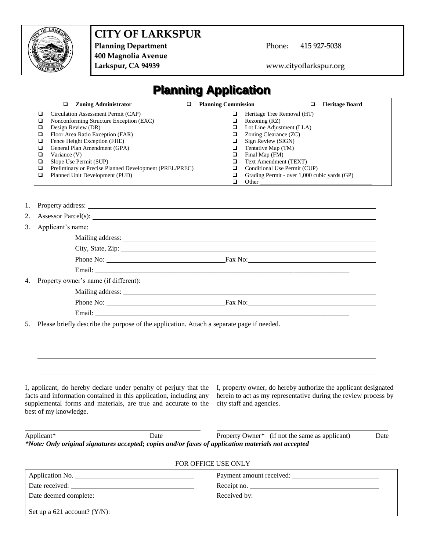

# **CITY OF LARKSPUR**

Planning Department<br>
Phone: 415 927-5038 **400 Magnolia Avenue**

**Larkspur, CA 94939** www.cityoflarkspur.org

| <b>Planning Application</b>                                                                                                                                                                                                                                                                                                                                                                                                               |                                                                                                                                                                                                                                                                                                                                                                                                       |
|-------------------------------------------------------------------------------------------------------------------------------------------------------------------------------------------------------------------------------------------------------------------------------------------------------------------------------------------------------------------------------------------------------------------------------------------|-------------------------------------------------------------------------------------------------------------------------------------------------------------------------------------------------------------------------------------------------------------------------------------------------------------------------------------------------------------------------------------------------------|
| <b>Zoning Administrator</b><br>□<br>□<br>Circulation Assessment Permit (CAP)<br>□<br>Nonconforming Structure Exception (EXC)<br>□<br>□<br>Design Review (DR)<br>Floor Area Ratio Exception (FAR)<br>□<br>Fence Height Exception (FHE)<br>□<br>General Plan Amendment (GPA)<br>□<br>Variance (V)<br>□<br>Slope Use Permit (SUP)<br>□<br>Preliminary or Precise Planned Development (PREL/PREC)<br>□<br>Planned Unit Development (PUD)<br>□ | <b>Planning Commission</b><br><b>Heritage Board</b><br>□<br>Heritage Tree Removal (HT)<br>$\Box$<br>Rezoning (RZ)<br>❏<br>Lot Line Adjustment (LLA)<br>□<br>Zoning Clearance (ZC)<br>□<br>Sign Review (SIGN)<br>❏<br>Tentative Map (TM)<br>□<br>Final Map (FM)<br>□<br>Text Amendment (TEXT)<br>□<br>Conditional Use Permit (CUP)<br>□<br>Grading Permit - over 1,000 cubic yards (GP)<br>□<br>$\Box$ |
| 1.<br>Property address: The contract of the contract of the contract of the contract of the contract of the contract of the contract of the contract of the contract of the contract of the contract of the contract of the contract                                                                                                                                                                                                      |                                                                                                                                                                                                                                                                                                                                                                                                       |
| 2.<br>Assessor Parcel(s):                                                                                                                                                                                                                                                                                                                                                                                                                 |                                                                                                                                                                                                                                                                                                                                                                                                       |
| 3.<br>Applicant's name: the contract of the contract of the contract of the contract of the contract of the contract of the contract of the contract of the contract of the contract of the contract of the contract of the contract                                                                                                                                                                                                      |                                                                                                                                                                                                                                                                                                                                                                                                       |
|                                                                                                                                                                                                                                                                                                                                                                                                                                           |                                                                                                                                                                                                                                                                                                                                                                                                       |
| City, State, Zip: 1988.                                                                                                                                                                                                                                                                                                                                                                                                                   |                                                                                                                                                                                                                                                                                                                                                                                                       |
|                                                                                                                                                                                                                                                                                                                                                                                                                                           |                                                                                                                                                                                                                                                                                                                                                                                                       |
|                                                                                                                                                                                                                                                                                                                                                                                                                                           |                                                                                                                                                                                                                                                                                                                                                                                                       |
|                                                                                                                                                                                                                                                                                                                                                                                                                                           |                                                                                                                                                                                                                                                                                                                                                                                                       |
|                                                                                                                                                                                                                                                                                                                                                                                                                                           |                                                                                                                                                                                                                                                                                                                                                                                                       |
|                                                                                                                                                                                                                                                                                                                                                                                                                                           |                                                                                                                                                                                                                                                                                                                                                                                                       |
|                                                                                                                                                                                                                                                                                                                                                                                                                                           |                                                                                                                                                                                                                                                                                                                                                                                                       |
| Please briefly describe the purpose of the application. Attach a separate page if needed.<br>5.                                                                                                                                                                                                                                                                                                                                           |                                                                                                                                                                                                                                                                                                                                                                                                       |
| I, applicant, do hereby declare under penalty of perjury that the I, property owner, do hereby authorize the applicant designated<br>facts and information contained in this application, including any herein to act as my representative during the review process by<br>supplemental forms and materials, are true and accurate to the city staff and agencies.<br>best of my knowledge.                                               |                                                                                                                                                                                                                                                                                                                                                                                                       |
| Applicant*<br>Date<br>*Note: Only original signatures accepted; copies and/or faxes of application materials not accepted                                                                                                                                                                                                                                                                                                                 | Property Owner* (if not the same as applicant)<br>Date                                                                                                                                                                                                                                                                                                                                                |
| FOR OFFICE USE ONLY                                                                                                                                                                                                                                                                                                                                                                                                                       |                                                                                                                                                                                                                                                                                                                                                                                                       |
| Application No. 2008 and 2008 and 2008 and 2008 and 2008 and 2008 and 2008 and 2008 and 2008 and 2008 and 2008                                                                                                                                                                                                                                                                                                                            |                                                                                                                                                                                                                                                                                                                                                                                                       |
|                                                                                                                                                                                                                                                                                                                                                                                                                                           | Receipt no.                                                                                                                                                                                                                                                                                                                                                                                           |
|                                                                                                                                                                                                                                                                                                                                                                                                                                           |                                                                                                                                                                                                                                                                                                                                                                                                       |
| Set up a $621$ account? (Y/N):                                                                                                                                                                                                                                                                                                                                                                                                            | <u> 1989 - Johann Stoff, deutscher Stoffen und der Stoffen und der Stoffen und der Stoffen und der Stoffen und de</u>                                                                                                                                                                                                                                                                                 |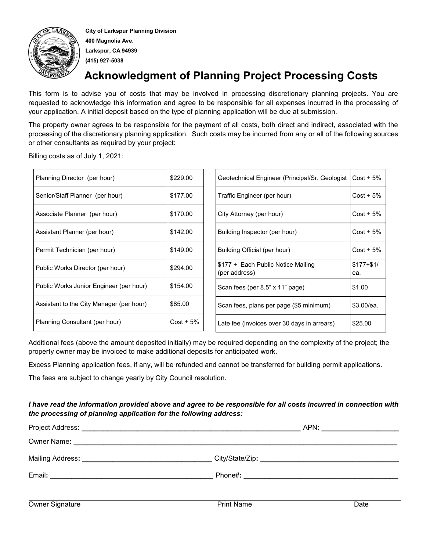

**City of Larkspur Planning Division 400 Magnolia Ave. Larkspur, CA 94939 (415) 927-5038**

## **Acknowledgment of Planning Project Processing Costs**

This form is to advise you of costs that may be involved in processing discretionary planning projects. You are requested to acknowledge this information and agree to be responsible for all expenses incurred in the processing of your application. A initial deposit based on the type of planning application will be due at submission.

The property owner agrees to be responsible for the payment of all costs, both direct and indirect, associated with the processing of the discretionary planning application. Such costs may be incurred from any or all of the following sources or other consultants as required by your project:

Billing costs as of July 1, 2021:

| Planning Director (per hour)             | \$229.00    | Geotechnical Engineer (Principal/Sr. Geologist |                                                                            | $Cost + 5%$ |
|------------------------------------------|-------------|------------------------------------------------|----------------------------------------------------------------------------|-------------|
| Senior/Staff Planner (per hour)          | \$177.00    | Traffic Engineer (per hour)                    |                                                                            | $Cost + 5%$ |
| Associate Planner (per hour)             | \$170.00    |                                                | City Attorney (per hour)                                                   | $Cost + 5%$ |
| Assistant Planner (per hour)             | \$142.00    |                                                | Building Inspector (per hour)                                              | $Cost + 5%$ |
| Permit Technician (per hour)             | \$149.00    |                                                | Building Official (per hour)                                               | $Cost + 5%$ |
| Public Works Director (per hour)         | \$294.00    |                                                | \$177 + Each Public Notice Mailing<br>$$177 + $1/$<br>(per address)<br>ea. |             |
| Public Works Junior Engineer (per hour)  | \$154.00    |                                                | Scan fees (per 8.5" x 11" page)                                            | \$1.00      |
| Assistant to the City Manager (per hour) | \$85.00     |                                                | Scan fees, plans per page (\$5 minimum)                                    | \$3.00/ea.  |
| Planning Consultant (per hour)           | $Cost + 5%$ |                                                | Late fee (invoices over 30 days in arrears)                                | \$25.00     |

Additional fees (above the amount deposited initially) may be required depending on the complexity of the project; the property owner may be invoiced to make additional deposits for anticipated work.

Excess Planning application fees, if any, will be refunded and cannot be transferred for building permit applications.

The fees are subject to change yearly by City Council resolution.

### *I have read the information provided above and agree to be responsible for all costs incurred in connection with the processing of planning application for the following address:*

|                                                                                                                                 | City/State/Zip: __________________________________ |      |
|---------------------------------------------------------------------------------------------------------------------------------|----------------------------------------------------|------|
| Email:<br><u> 1989 - Paris Alexandri, política estadounidense e a contineira de la contineira de la contineira de la contin</u> |                                                    |      |
| Owner Signature                                                                                                                 | <b>Print Name</b>                                  | Date |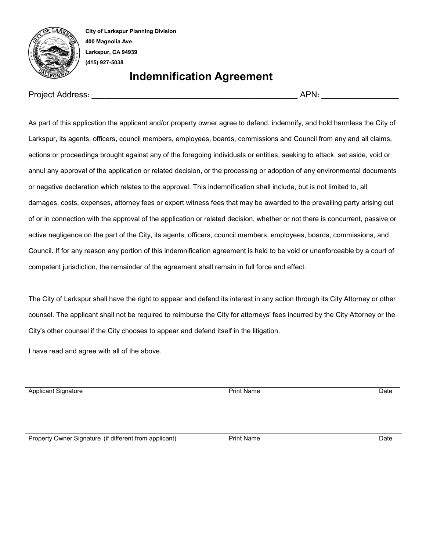

**City of Larkspur Planning Division 400 Magnolia Ave. Larkspur, CA 94939 (415) 927-5038**

## **Indemnification Agreement**

Project Address**: \_\_\_\_\_\_\_\_\_\_\_\_\_\_\_\_\_\_\_\_\_\_\_\_\_\_\_\_\_\_\_\_\_\_\_\_\_\_\_\_\_\_\_\_\_\_\_\_** APN**: \_\_\_\_\_\_\_\_\_\_\_\_\_\_\_\_\_\_**

As part of this application the applicant and/or property owner agree to defend, indemnify, and hold harmless the City of Larkspur, its agents, officers, council members, employees, boards, commissions and Council from any and all claims, actions or proceedings brought against any of the foregoing individuals or entities, seeking to attack, set aside, void or annul any approval of the application or related decision, or the processing or adoption of any environmental documents or negative declaration which relates to the approval. This indemnification shall include, but is not limited to, all damages, costs, expenses, attorney fees or expert witness fees that may be awarded to the prevailing party arising out of or in connection with the approval of the application or related decision, whether or not there is concurrent, passive or active negligence on the part of the City, its agents, officers, council members, employees, boards, commissions, and Council. If for any reason any portion of this indemnification agreement is held to be void or unenforceable by a court of competent jurisdiction, the remainder of the agreement shall remain in full force and effect.

The City of Larkspur shall have the right to appear and defend its interest in any action through its City Attorney or other counsel. The applicant shall not be required to reimburse the City for attorneys' fees incurred by the City Attorney or the City's other counsel if the City chooses to appear and defend itself in the litigation.

I have read and agree with all of the above.

Applicant Signature Date Date Print Name Print Name Date

Property Owner Signature (if different from applicant) **Print Name** Print Name **Date** Date